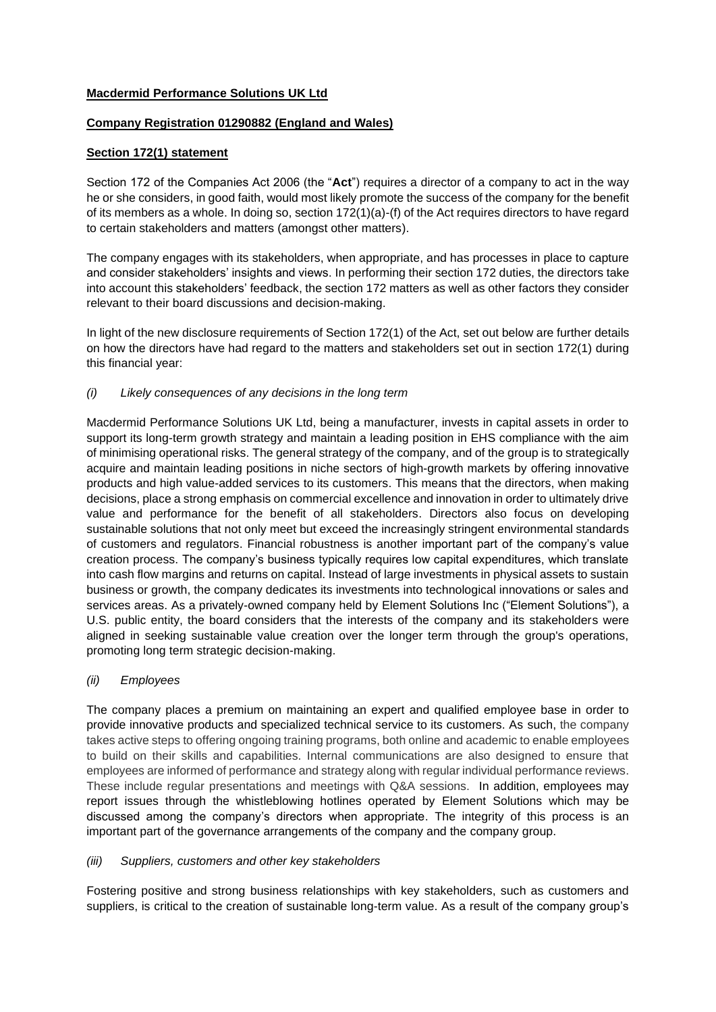# **Macdermid Performance Solutions UK Ltd**

# **Company Registration 01290882 (England and Wales)**

## **Section 172(1) statement**

Section 172 of the Companies Act 2006 (the "**Act**") requires a director of a company to act in the way he or she considers, in good faith, would most likely promote the success of the company for the benefit of its members as a whole. In doing so, section 172(1)(a)-(f) of the Act requires directors to have regard to certain stakeholders and matters (amongst other matters).

The company engages with its stakeholders, when appropriate, and has processes in place to capture and consider stakeholders' insights and views. In performing their section 172 duties, the directors take into account this stakeholders' feedback, the section 172 matters as well as other factors they consider relevant to their board discussions and decision-making.

In light of the new disclosure requirements of Section 172(1) of the Act, set out below are further details on how the directors have had regard to the matters and stakeholders set out in section 172(1) during this financial year:

### *(i) Likely consequences of any decisions in the long term*

Macdermid Performance Solutions UK Ltd, being a manufacturer, invests in capital assets in order to support its long-term growth strategy and maintain a leading position in EHS compliance with the aim of minimising operational risks. The general strategy of the company, and of the group is to strategically acquire and maintain leading positions in niche sectors of high-growth markets by offering innovative products and high value-added services to its customers. This means that the directors, when making decisions, place a strong emphasis on commercial excellence and innovation in order to ultimately drive value and performance for the benefit of all stakeholders. Directors also focus on developing sustainable solutions that not only meet but exceed the increasingly stringent environmental standards of customers and regulators. Financial robustness is another important part of the company's value creation process. The company's business typically requires low capital expenditures, which translate into cash flow margins and returns on capital. Instead of large investments in physical assets to sustain business or growth, the company dedicates its investments into technological innovations or sales and services areas. As a privately-owned company held by Element Solutions Inc ("Element Solutions"), a U.S. public entity, the board considers that the interests of the company and its stakeholders were aligned in seeking sustainable value creation over the longer term through the group's operations, promoting long term strategic decision-making.

# *(ii) Employees*

The company places a premium on maintaining an expert and qualified employee base in order to provide innovative products and specialized technical service to its customers. As such, the company takes active steps to offering ongoing training programs, both online and academic to enable employees to build on their skills and capabilities. Internal communications are also designed to ensure that employees are informed of performance and strategy along with regular individual performance reviews. These include regular presentations and meetings with Q&A sessions. In addition, employees may report issues through the whistleblowing hotlines operated by Element Solutions which may be discussed among the company's directors when appropriate. The integrity of this process is an important part of the governance arrangements of the company and the company group.

#### *(iii) Suppliers, customers and other key stakeholders*

Fostering positive and strong business relationships with key stakeholders, such as customers and suppliers, is critical to the creation of sustainable long-term value. As a result of the company group's